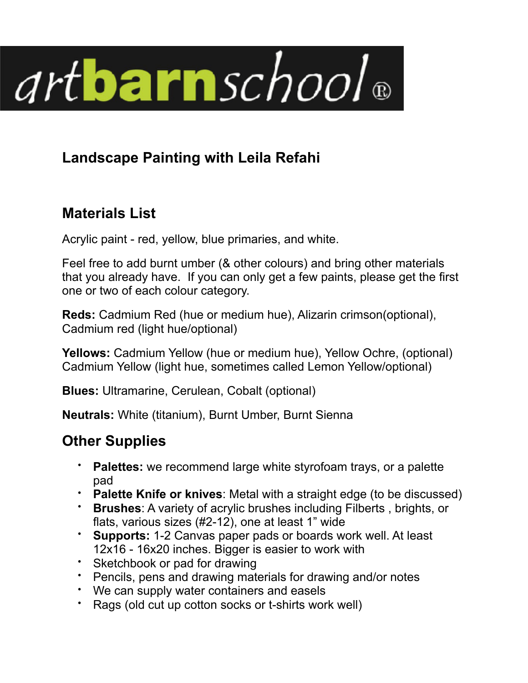

## **Landscape Painting with Leila Refahi**

## **Materials List**

Acrylic paint - red, yellow, blue primaries, and white.

Feel free to add burnt umber (& other colours) and bring other materials that you already have. If you can only get a few paints, please get the first one or two of each colour category.

**Reds:** Cadmium Red (hue or medium hue), Alizarin crimson(optional), Cadmium red (light hue/optional)

**Yellows:** Cadmium Yellow (hue or medium hue), Yellow Ochre, (optional) Cadmium Yellow (light hue, sometimes called Lemon Yellow/optional)

**Blues:** Ultramarine, Cerulean, Cobalt (optional)

**Neutrals:** White (titanium), Burnt Umber, Burnt Sienna

## **Other Supplies**

- **Palettes:** we recommend large white styrofoam trays, or a palette pad
- **Palette Knife or knives**: Metal with a straight edge (to be discussed)
- **Brushes**: A variety of acrylic brushes including Filberts , brights, or flats, various sizes (#2-12), one at least 1" wide
- **Supports:** 1-2 Canvas paper pads or boards work well. At least 12x16 - 16x20 inches. Bigger is easier to work with
- Sketchbook or pad for drawing
- Pencils, pens and drawing materials for drawing and/or notes
- We can supply water containers and easels
- Rags (old cut up cotton socks or t-shirts work well)